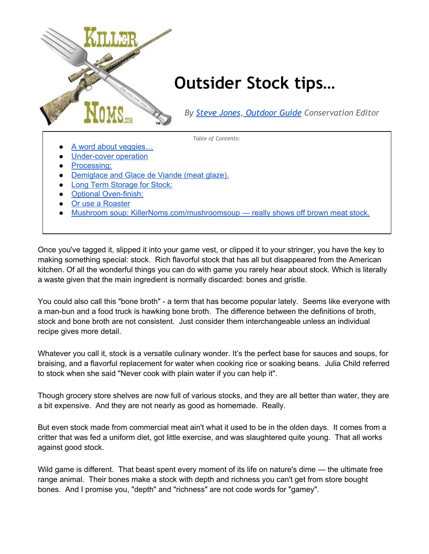

Once you've tagged it, slipped it into your game vest, or clipped it to your stringer, you have the key to making something special: stock. Rich flavorful stock that has all but disappeared from the American kitchen. Of all the wonderful things you can do with game you rarely hear about stock. Which is literally a waste given that the main ingredient is normally discarded: bones and gristle.

You could also call this "bone broth" - a term that has become popular lately. Seems like everyone with a man-bun and a food truck is hawking bone broth. The difference between the definitions of broth, stock and bone broth are not consistent. Just consider them interchangeable unless an individual recipe gives more detail.

Whatever you call it, stock is a versatile culinary wonder. It's the perfect base for sauces and soups, for braising, and a flavorful replacement for water when cooking rice or soaking beans. Julia Child referred to stock when she said "Never cook with plain water if you can help it".

Though grocery store shelves are now full of various stocks, and they are all better than water, they are a bit expensive. And they are not nearly as good as homemade. Really.

But even stock made from commercial meat ain't what it used to be in the olden days. It comes from a critter that was fed a uniform diet, got little exercise, and was slaughtered quite young. That all works against good stock.

Wild game is different. That beast spent every moment of its life on nature's dime — the ultimate free range animal. Their bones make a stock with depth and richness you can't get from store bought bones. And I promise you, "depth" and "richness" are not code words for "gamey".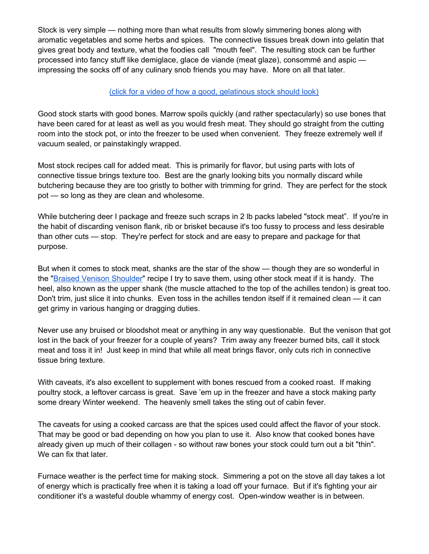Stock is very simple — nothing more than what results from slowly simmering bones along with aromatic vegetables and some herbs and spices. The connective tissues break down into gelatin that gives great body and texture, what the foodies call "mouth feel". The resulting stock can be further processed into fancy stuff like demiglace, glace de viande (meat glaze), consommé and aspic impressing the socks off of any culinary snob friends you may have. More on all that later.

#### (click for a video of how a good, [gelatinous](http://youtu.be/qkaDb8WdI2w) stock should look)

Good stock starts with good bones. Marrow spoils quickly (and rather spectacularly) so use bones that have been cared for at least as well as you would fresh meat. They should go straight from the cutting room into the stock pot, or into the freezer to be used when convenient. They freeze extremely well if vacuum sealed, or painstakingly wrapped.

Most stock recipes call for added meat. This is primarily for flavor, but using parts with lots of connective tissue brings texture too. Best are the gnarly looking bits you normally discard while butchering because they are too gristly to bother with trimming for grind. They are perfect for the stock pot — so long as they are clean and wholesome.

While butchering deer I package and freeze such scraps in 2 lb packs labeled "stock meat". If you're in the habit of discarding venison flank, rib or brisket because it's too fussy to process and less desirable than other cuts — stop. They're perfect for stock and are easy to prepare and package for that purpose.

But when it comes to stock meat, shanks are the star of the show — though they are so wonderful in the "Braised Venison [Shoulder](http://killernoms.com/braisedshoulder)" recipe I try to save them, using other stock meat if it is handy. The heel, also known as the upper shank (the muscle attached to the top of the achilles tendon) is great too. Don't trim, just slice it into chunks. Even toss in the achilles tendon itself if it remained clean — it can get grimy in various hanging or dragging duties.

Never use any bruised or bloodshot meat or anything in any way questionable. But the venison that got lost in the back of your freezer for a couple of years? Trim away any freezer burned bits, call it stock meat and toss it in! Just keep in mind that while all meat brings flavor, only cuts rich in connective tissue bring texture.

With caveats, it's also excellent to supplement with bones rescued from a cooked roast. If making poultry stock, a leftover carcass is great. Save 'em up in the freezer and have a stock making party some dreary Winter weekend. The heavenly smell takes the sting out of cabin fever.

The caveats for using a cooked carcass are that the spices used could affect the flavor of your stock. That may be good or bad depending on how you plan to use it. Also know that cooked bones have already given up much of their collagen - so without raw bones your stock could turn out a bit "thin". We can fix that later.

Furnace weather is the perfect time for making stock. Simmering a pot on the stove all day takes a lot of energy which is practically free when it is taking a load off your furnace. But if it's fighting your air conditioner it's a wasteful double whammy of energy cost. Open-window weather is in between.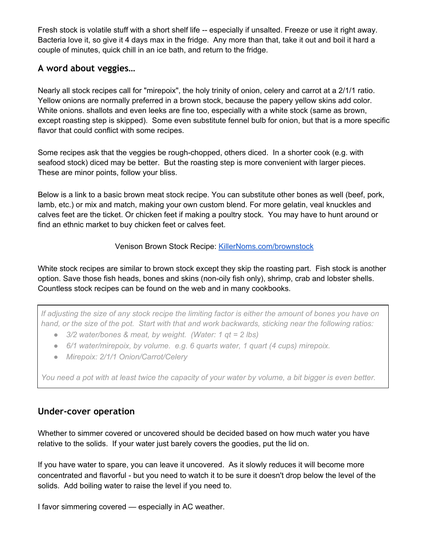Fresh stock is volatile stuff with a short shelf life -- especially if unsalted. Freeze or use it right away. Bacteria love it, so give it 4 days max in the fridge. Any more than that, take it out and boil it hard a couple of minutes, quick chill in an ice bath, and return to the fridge.

## <span id="page-2-0"></span>**A word about veggies…**

Nearly all stock recipes call for "mirepoix", the holy trinity of onion, celery and carrot at a 2/1/1 ratio. Yellow onions are normally preferred in a brown stock, because the papery yellow skins add color. White onions. shallots and even leeks are fine too, especially with a white stock (same as brown, except roasting step is skipped). Some even substitute fennel bulb for onion, but that is a more specific flavor that could conflict with some recipes.

Some recipes ask that the veggies be rough-chopped, others diced. In a shorter cook (e.g. with seafood stock) diced may be better. But the roasting step is more convenient with larger pieces. These are minor points, follow your bliss.

Below is a link to a basic brown meat stock recipe. You can substitute other bones as well (beef, pork, lamb, etc.) or mix and match, making your own custom blend. For more gelatin, veal knuckles and calves feet are the ticket. Or chicken feet if making a poultry stock. You may have to hunt around or find an ethnic market to buy chicken feet or calves feet.

#### Venison Brown Stock Recipe: [KillerNoms.com/brownstock](https://killernoms.com/brownstock/)

White stock recipes are similar to brown stock except they skip the roasting part. Fish stock is another option. Save those fish heads, bones and skins (non-oily fish only), shrimp, crab and lobster shells. Countless stock recipes can be found on the web and in many cookbooks.

If adjusting the size of any stock recipe the limiting factor is either the amount of bones you have on hand, or the size of the pot. Start with that and work backwards, sticking near the following ratios:

- *● 3/2 water/bones & meat, by weight. (Water: 1 qt = 2 lbs)*
- *● 6/1 water/mirepoix, by volume. e.g. 6 quarts water, 1 quart (4 cups) mirepoix.*
- *● Mirepoix: 2/1/1 Onion/Carrot/Celery*

You need a pot with at least twice the capacity of your water by volume, a bit bigger is even better.

## <span id="page-2-1"></span>**Under-cover operation**

Whether to simmer covered or uncovered should be decided based on how much water you have relative to the solids. If your water just barely covers the goodies, put the lid on.

If you have water to spare, you can leave it uncovered. As it slowly reduces it will become more concentrated and flavorful - but you need to watch it to be sure it doesn't drop below the level of the solids. Add boiling water to raise the level if you need to.

I favor simmering covered — especially in AC weather.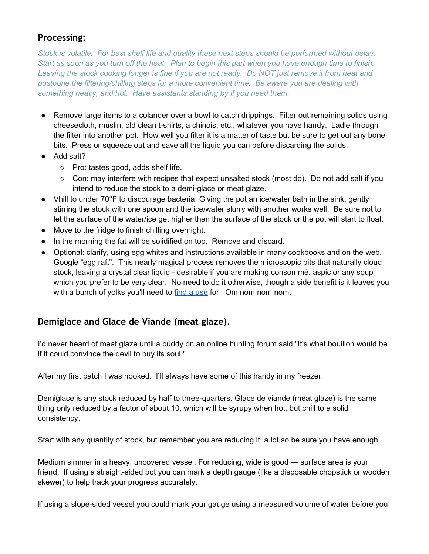# <span id="page-3-0"></span>**Processing:**

*Stock is volatile. For best shelf life and quality these next steps should be performed without delay.* Start as soon as you turn off the heat. Plan to begin this part when you have enough time to finish. Leaving the stock cooking longer is fine if you are not ready. Do NOT just remove it from heat and *postpone the filtering/chilling steps for a more convenient time. Be aware you are dealing with something heavy, and hot. Have assistants standing by if you need them.*

- Remove large items to a colander over a bowl to catch drippings. Filter out remaining solids using cheesecloth, muslin, old clean t-shirts, a chinois, etc., whatever you have handy. Ladle through the filter into another pot. How well you filter it is a matter of taste but be sure to get out any bone bits. Press or squeeze out and save all the liquid you can before discarding the solids.
- Add salt?
	- Pro: tastes good, adds shelf life.
	- $\circ$  Con: may interfere with recipes that expect unsalted stock (most do). Do not add salt if you intend to reduce the stock to a demi-glace or meat glaze.
- Vhill to under 70°F to discourage bacteria. Giving the pot an ice/water bath in the sink, gently stirring the stock with one spoon and the ice/water slurry with another works well. Be sure not to let the surface of the water/ice get higher than the surface of the stock or the pot will start to float.
- Move to the fridge to finish chilling overnight.
- In the morning the fat will be solidified on top. Remove and discard.
- Optional: clarify, using egg whites and instructions available in many cookbooks and on the web. Google "egg raft". This nearly magical process removes the microscopic bits that naturally cloud stock, leaving a crystal clear liquid - desirable if you are making consommé, aspic or any soup which you prefer to be very clear. No need to do it otherwise, though a side benefit is it leaves you with a bunch of yolks you'll need to find a [use](http://bakingbites.com/2012/05/5-recipes-that-use-up-leftover-egg-yolks/) for. Om nom nom nom.

## <span id="page-3-1"></span>**Demiglace and Glace de Viande (meat glaze).**

I'd never heard of meat glaze until a buddy on an online hunting forum said "It's what bouillon would be if it could convince the devil to buy its soul."

After my first batch I was hooked. I'll always have some of this handy in my freezer.

Demiglace is any stock reduced by half to three-quarters. Glace de viande (meat glaze) is the same thing only reduced by a factor of about 10, which will be syrupy when hot, but chill to a solid consistency.

Start with any quantity of stock, but remember you are reducing it a lot so be sure you have enough.

Medium simmer in a heavy, uncovered vessel. For reducing, wide is good — surface area is your friend. If using a straight-sided pot you can mark a depth gauge (like a disposable chopstick or wooden skewer) to help track your progress accurately.

If using a slope-sided vessel you could mark your gauge using a measured volume of water before you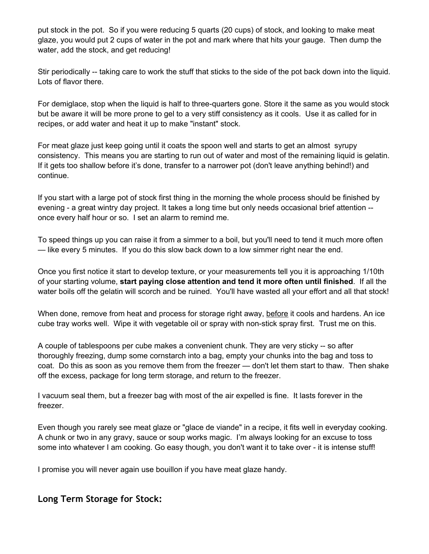put stock in the pot. So if you were reducing 5 quarts (20 cups) of stock, and looking to make meat glaze, you would put 2 cups of water in the pot and mark where that hits your gauge. Then dump the water, add the stock, and get reducing!

Stir periodically -- taking care to work the stuff that sticks to the side of the pot back down into the liquid. Lots of flavor there.

For demiglace, stop when the liquid is half to three-quarters gone. Store it the same as you would stock but be aware it will be more prone to gel to a very stiff consistency as it cools. Use it as called for in recipes, or add water and heat it up to make "instant" stock.

For meat glaze just keep going until it coats the spoon well and starts to get an almost syrupy consistency. This means you are starting to run out of water and most of the remaining liquid is gelatin. If it gets too shallow before it's done, transfer to a narrower pot (don't leave anything behind!) and continue.

If you start with a large pot of stock first thing in the morning the whole process should be finished by evening - a great wintry day project. It takes a long time but only needs occasional brief attention - once every half hour or so. I set an alarm to remind me.

To speed things up you can raise it from a simmer to a boil, but you'll need to tend it much more often — like every 5 minutes. If you do this slow back down to a low simmer right near the end.

Once you first notice it start to develop texture, or your measurements tell you it is approaching 1/10th of your starting volume, **start paying close attention and tend it more often until finished**. If all the water boils off the gelatin will scorch and be ruined. You'll have wasted all your effort and all that stock!

When done, remove from heat and process for storage right away, before it cools and hardens. An ice cube tray works well. Wipe it with vegetable oil or spray with non-stick spray first. Trust me on this.

A couple of tablespoons per cube makes a convenient chunk. They are very sticky -- so after thoroughly freezing, dump some cornstarch into a bag, empty your chunks into the bag and toss to coat. Do this as soon as you remove them from the freezer — don't let them start to thaw. Then shake off the excess, package for long term storage, and return to the freezer.

I vacuum seal them, but a freezer bag with most of the air expelled is fine. It lasts forever in the freezer.

Even though you rarely see meat glaze or "glace de viande" in a recipe, it fits well in everyday cooking. A chunk or two in any gravy, sauce or soup works magic. I'm always looking for an excuse to toss some into whatever I am cooking. Go easy though, you don't want it to take over - it is intense stuff!

I promise you will never again use bouillon if you have meat glaze handy.

## <span id="page-4-0"></span>**Long Term Storage for Stock:**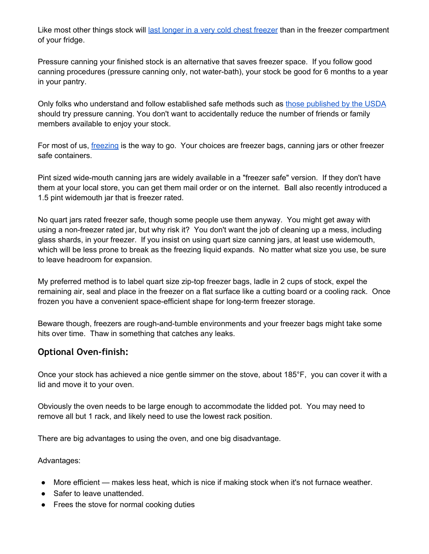Like most other things stock will last longer in a very cold chest [freezer](https://docs.google.com/document/d/1DRng-WHIHJMWGvm7XlMWXA6obZCUXw9ZMLH9XqsR_s4) than in the freezer compartment of your fridge.

Pressure canning your finished stock is an alternative that saves freezer space. If you follow good canning procedures (pressure canning only, not water-bath), your stock be good for 6 months to a year in your pantry.

Only folks who understand and follow established safe methods such as those [published](http://nchfp.uga.edu/publications/publications_usda.html) by the USDA should try pressure canning. You don't want to accidentally reduce the number of friends or family members available to enjoy your stock.

For most of us, *[freezing](https://docs.google.com/document/d/1DRng-WHIHJMWGvm7XlMWXA6obZCUXw9ZMLH9XqsR_s4)* is the way to go. Your choices are freezer bags, canning jars or other freezer safe containers.

Pint sized wide-mouth canning jars are widely available in a "freezer safe" version. If they don't have them at your local store, you can get them mail order or on the internet. Ball also recently introduced a 1.5 pint widemouth jar that is freezer rated.

No quart jars rated freezer safe, though some people use them anyway. You might get away with using a non-freezer rated jar, but why risk it? You don't want the job of cleaning up a mess, including glass shards, in your freezer. If you insist on using quart size canning jars, at least use widemouth, which will be less prone to break as the freezing liquid expands. No matter what size you use, be sure to leave headroom for expansion.

My preferred method is to label quart size zip-top freezer bags, ladle in 2 cups of stock, expel the remaining air, seal and place in the freezer on a flat surface like a cutting board or a cooling rack. Once frozen you have a convenient space-efficient shape for long-term freezer storage.

Beware though, freezers are rough-and-tumble environments and your freezer bags might take some hits over time. Thaw in something that catches any leaks.

# <span id="page-5-0"></span>**Optional Oven-finish:**

Once your stock has achieved a nice gentle simmer on the stove, about 185°F, you can cover it with a lid and move it to your oven.

Obviously the oven needs to be large enough to accommodate the lidded pot. You may need to remove all but 1 rack, and likely need to use the lowest rack position.

There are big advantages to using the oven, and one big disadvantage.

Advantages:

- More efficient makes less heat, which is nice if making stock when it's not furnace weather.
- Safer to leave unattended.
- Frees the stove for normal cooking duties